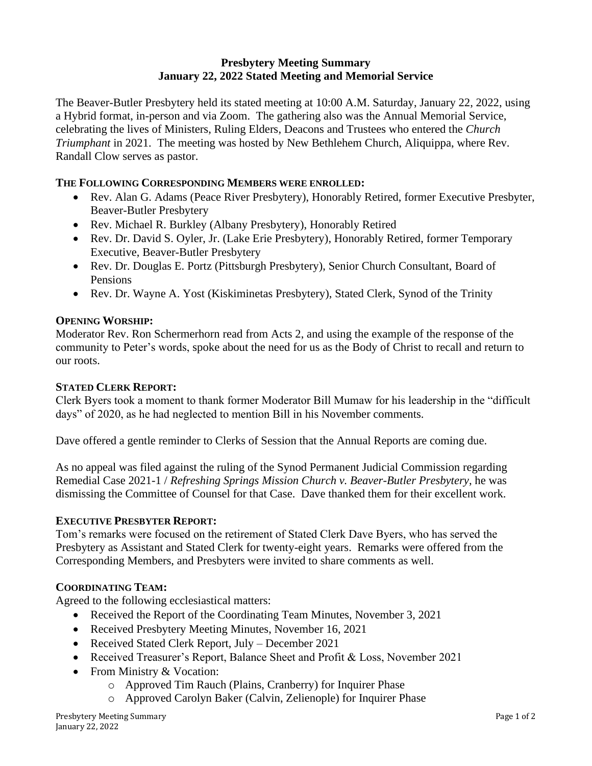# **Presbytery Meeting Summary January 22, 2022 Stated Meeting and Memorial Service**

The Beaver-Butler Presbytery held its stated meeting at 10:00 A.M. Saturday, January 22, 2022, using a Hybrid format, in-person and via Zoom. The gathering also was the Annual Memorial Service, celebrating the lives of Ministers, Ruling Elders, Deacons and Trustees who entered the *Church Triumphant* in 2021. The meeting was hosted by New Bethlehem Church, Aliquippa, where Rev. Randall Clow serves as pastor.

# **THE FOLLOWING CORRESPONDING MEMBERS WERE ENROLLED:**

- Rev. Alan G. Adams (Peace River Presbytery), Honorably Retired, former Executive Presbyter, Beaver-Butler Presbytery
- Rev. Michael R. Burkley (Albany Presbytery), Honorably Retired
- Rev. Dr. David S. Oyler, Jr. (Lake Erie Presbytery), Honorably Retired, former Temporary Executive, Beaver-Butler Presbytery
- Rev. Dr. Douglas E. Portz (Pittsburgh Presbytery), Senior Church Consultant, Board of Pensions
- Rev. Dr. Wayne A. Yost (Kiskiminetas Presbytery), Stated Clerk, Synod of the Trinity

# **OPENING WORSHIP:**

Moderator Rev. Ron Schermerhorn read from Acts 2, and using the example of the response of the community to Peter's words, spoke about the need for us as the Body of Christ to recall and return to our roots.

### **STATED CLERK REPORT:**

Clerk Byers took a moment to thank former Moderator Bill Mumaw for his leadership in the "difficult days" of 2020, as he had neglected to mention Bill in his November comments.

Dave offered a gentle reminder to Clerks of Session that the Annual Reports are coming due.

As no appeal was filed against the ruling of the Synod Permanent Judicial Commission regarding Remedial Case 2021-1 / *Refreshing Springs Mission Church v. Beaver-Butler Presbytery*, he was dismissing the Committee of Counsel for that Case. Dave thanked them for their excellent work.

# **EXECUTIVE PRESBYTER REPORT:**

Tom's remarks were focused on the retirement of Stated Clerk Dave Byers, who has served the Presbytery as Assistant and Stated Clerk for twenty-eight years. Remarks were offered from the Corresponding Members, and Presbyters were invited to share comments as well.

# **COORDINATING TEAM:**

Agreed to the following ecclesiastical matters:

- Received the Report of the Coordinating Team Minutes, November 3, 2021
- Received Presbytery Meeting Minutes, November 16, 2021
- Received Stated Clerk Report, July December 2021
- Received Treasurer's Report, Balance Sheet and Profit & Loss, November 2021
- From Ministry & Vocation:
	- o Approved Tim Rauch (Plains, Cranberry) for Inquirer Phase
	- o Approved Carolyn Baker (Calvin, Zelienople) for Inquirer Phase